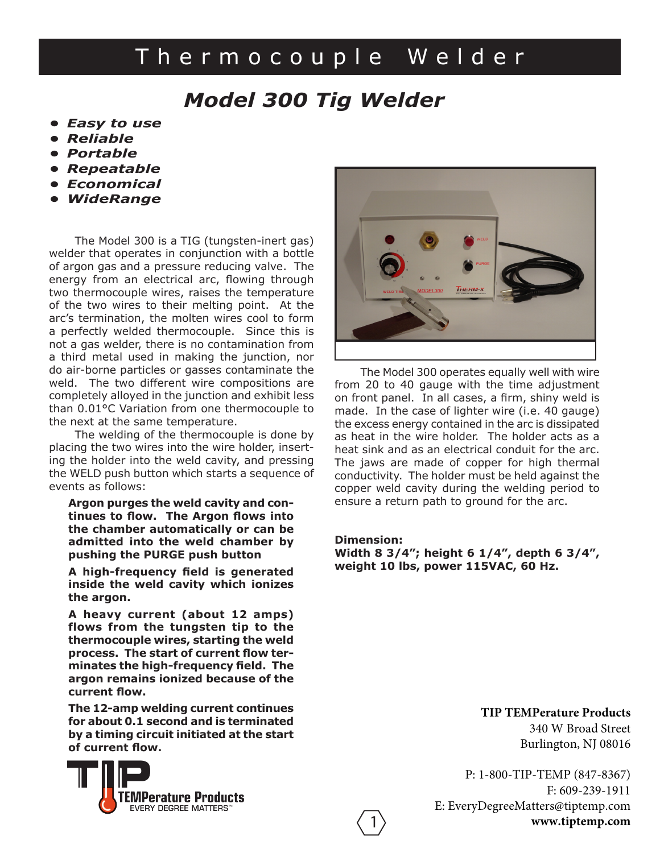# Thermocouple Welder

### *Model 300 Tig Welder*

- *Easy to use*
- *Reliable*
- *Portable*
- *Repeatable*
- *Economical*
- *WideRange*

The Model 300 is a TIG (tungsten-inert gas) welder that operates in conjunction with a bottle of argon gas and a pressure reducing valve. The energy from an electrical arc, flowing through two thermocouple wires, raises the temperature of the two wires to their melting point. At the arc's termination, the molten wires cool to form a perfectly welded thermocouple. Since this is not a gas welder, there is no contamination from a third metal used in making the junction, nor do air-borne particles or gasses contaminate the weld. The two different wire compositions are completely alloyed in the junction and exhibit less than 0.01°C Variation from one thermocouple to the next at the same temperature.

The welding of the thermocouple is done by placing the two wires into the wire holder, inserting the holder into the weld cavity, and pressing the WELD push button which starts a sequence of events as follows:

**Argon purges the weld cavity and continues to flow. The Argon flows into the chamber automatically or can be admitted into the weld chamber by pushing the PURGE push button**

**A high-frequency field is generated inside the weld cavity which ionizes the argon.**

**A heavy current (about 12 amps) flows from the tungsten tip to the thermocouple wires, starting the weld process. The start of current flow terminates the high-frequency field. The argon remains ionized because of the current flow.**

**The 12-amp welding current continues for about 0.1 second and is terminated by a timing circuit initiated at the start of current flow.**





The Model 300 operates equally well with wire from 20 to 40 gauge with the time adjustment on front panel. In all cases, a firm, shiny weld is made. In the case of lighter wire (i.e. 40 gauge) the excess energy contained in the arc is dissipated as heat in the wire holder. The holder acts as a heat sink and as an electrical conduit for the arc. The jaws are made of copper for high thermal conductivity. The holder must be held against the copper weld cavity during the welding period to ensure a return path to ground for the arc.

#### **Dimension:**

1

**Width 8 3/4"; height 6 1/4", depth 6 3/4", weight 10 lbs, power 115VAC, 60 Hz.**

**TIP TEMPerature Products**

340 W Broad Street Burlington, NJ 08016

P: 1-800-TIP-TEMP (847-8367) F: 609-239-1911 E: EveryDegreeMatters@tiptemp.com **www.tiptemp.com**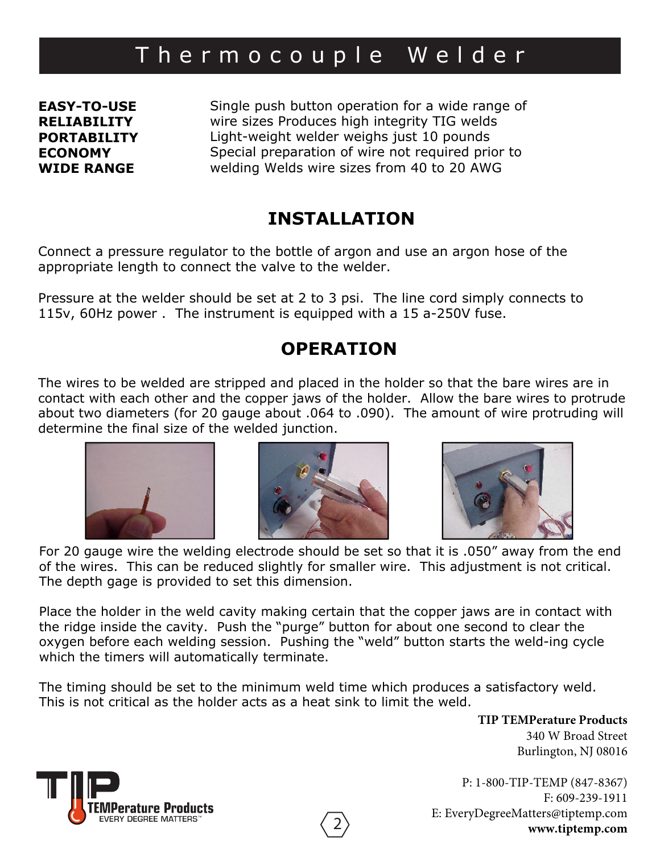## Thermocouple Welder

**EASY-TO-USE RELIABILITY PORTABILITY ECONOMY WIDE RANGE**

Single push button operation for a wide range of wire sizes Produces high integrity TIG welds Light-weight welder weighs just 10 pounds Special preparation of wire not required prior to welding Welds wire sizes from 40 to 20 AWG

### **INSTALLATION**

Connect a pressure regulator to the bottle of argon and use an argon hose of the appropriate length to connect the valve to the welder.

Pressure at the welder should be set at 2 to 3 psi. The line cord simply connects to 115v, 60Hz power . The instrument is equipped with a 15 a-250V fuse.

### **OPERATION**

The wires to be welded are stripped and placed in the holder so that the bare wires are in contact with each other and the copper jaws of the holder. Allow the bare wires to protrude about two diameters (for 20 gauge about .064 to .090). The amount of wire protruding will determine the final size of the welded junction.







For 20 gauge wire the welding electrode should be set so that it is .050" away from the end of the wires. This can be reduced slightly for smaller wire. This adjustment is not critical. The depth gage is provided to set this dimension.

Place the holder in the weld cavity making certain that the copper jaws are in contact with the ridge inside the cavity. Push the "purge" button for about one second to clear the oxygen before each welding session. Pushing the "weld" button starts the weld-ing cycle which the timers will automatically terminate.

The timing should be set to the minimum weld time which produces a satisfactory weld. This is not critical as the holder acts as a heat sink to limit the weld.

**TIP TEMPerature Products**

340 W Broad Street Burlington, NJ 08016

P: 1-800-TIP-TEMP (847-8367) F: 609-239-1911 E: EveryDegreeMatters@tiptemp.com 2 **www.tiptemp.com**

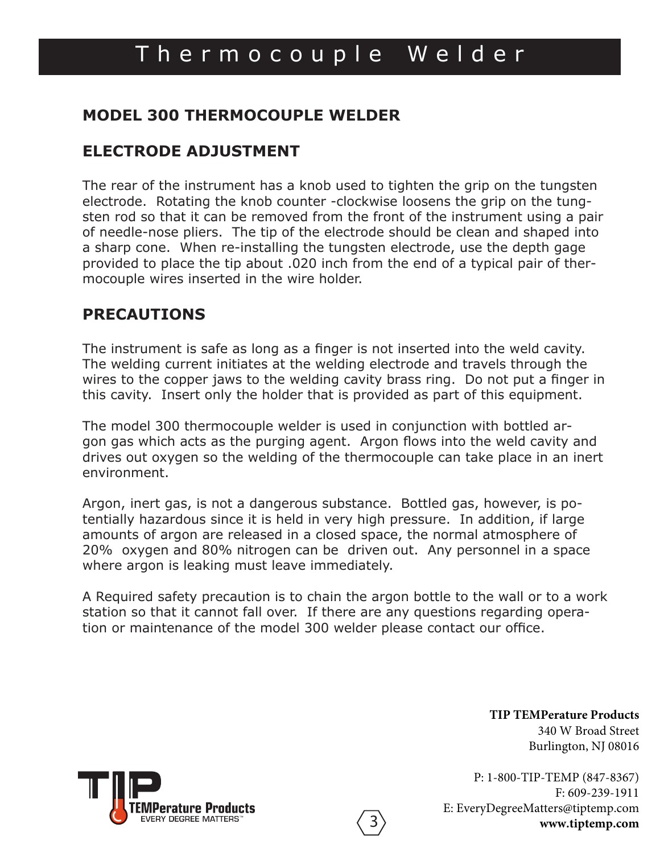#### **MODEL 300 THERMOCOUPLE WELDER**

### **ELECTRODE ADJUSTMENT**

The rear of the instrument has a knob used to tighten the grip on the tungsten electrode. Rotating the knob counter -clockwise loosens the grip on the tungsten rod so that it can be removed from the front of the instrument using a pair of needle-nose pliers. The tip of the electrode should be clean and shaped into a sharp cone. When re-installing the tungsten electrode, use the depth gage provided to place the tip about .020 inch from the end of a typical pair of thermocouple wires inserted in the wire holder.

### **PRECAUTIONS**

The instrument is safe as long as a finger is not inserted into the weld cavity. The welding current initiates at the welding electrode and travels through the wires to the copper jaws to the welding cavity brass ring. Do not put a finger in this cavity. Insert only the holder that is provided as part of this equipment.

The model 300 thermocouple welder is used in conjunction with bottled argon gas which acts as the purging agent. Argon flows into the weld cavity and drives out oxygen so the welding of the thermocouple can take place in an inert environment.

Argon, inert gas, is not a dangerous substance. Bottled gas, however, is potentially hazardous since it is held in very high pressure. In addition, if large amounts of argon are released in a closed space, the normal atmosphere of 20% oxygen and 80% nitrogen can be driven out. Any personnel in a space where argon is leaking must leave immediately.

A Required safety precaution is to chain the argon bottle to the wall or to a work station so that it cannot fall over. If there are any questions regarding operation or maintenance of the model 300 welder please contact our office.

3

**TIP TEMPerature Products** 340 W Broad Street Burlington, NJ 08016

P: 1-800-TIP-TEMP (847-8367) F: 609-239-1911 E: EveryDegreeMatters@tiptemp.com **www.tiptemp.com**